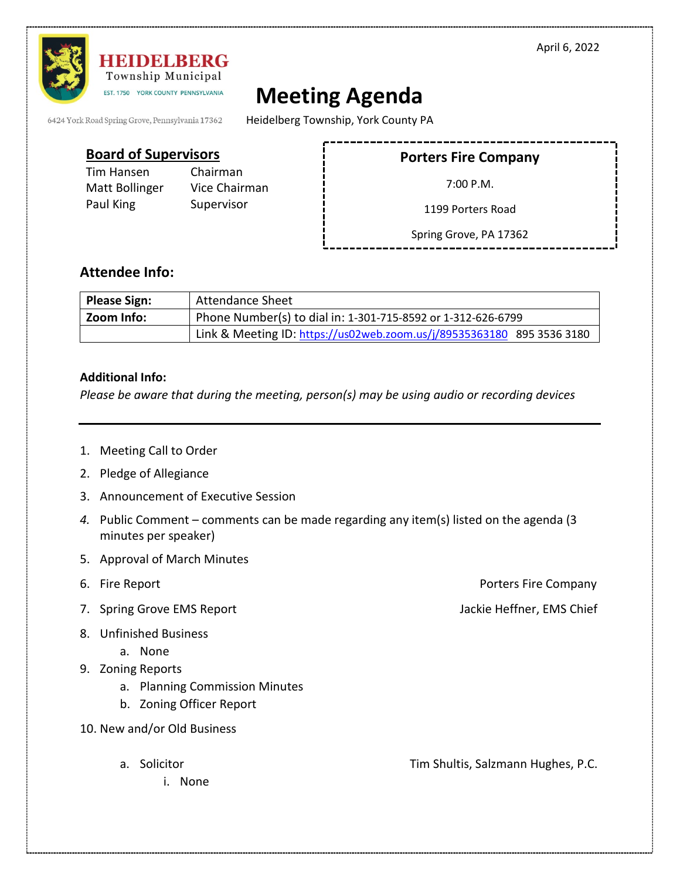April 6, 2022



## HEIDELBERG Township Municipal EST. 1750 YORK COUNTY PENNSYLVANIA

## **Meeting Agenda**

6424 York Road Spring Grove, Pennsylvania 17362

Heidelberg Township, York County PA

| <b>Board of Supervisors</b>               |                                         | <b>Porters Fire Company</b> |  |
|-------------------------------------------|-----------------------------------------|-----------------------------|--|
| Tim Hansen<br>Matt Bollinger<br>Paul King | Chairman<br>Vice Chairman<br>Supervisor | 7:00 P.M.                   |  |
|                                           |                                         | 1199 Porters Road           |  |
|                                           |                                         | Spring Grove, PA 17362      |  |

## **Attendee Info:**

| <b>Please Sign:</b> | <b>Attendance Sheet</b>                                                |  |
|---------------------|------------------------------------------------------------------------|--|
| Zoom Info:          | Phone Number(s) to dial in: 1-301-715-8592 or 1-312-626-6799           |  |
|                     | Link & Meeting ID: https://us02web.zoom.us/j/89535363180 895 3536 3180 |  |

## **Additional Info:**

*Please be aware that during the meeting, person(s) may be using audio or recording devices*

- 1. Meeting Call to Order
- 2. Pledge of Allegiance
- 3. Announcement of Executive Session
- *4.* Public Comment comments can be made regarding any item(s) listed on the agenda (3 minutes per speaker)
- 5. Approval of March Minutes
- 
- 7. Spring Grove EMS Report **Jackie Heffner, EMS Chief** Jackie Heffner, EMS Chief
- 8. Unfinished Business
	- a. None
- 9. Zoning Reports
	- a. Planning Commission Minutes
	- b. Zoning Officer Report
- 10. New and/or Old Business
	- - i. None

6. Fire Report Porters Fire Company

a. Solicitor **Tim Shultis, Salzmann Hughes, P.C.**